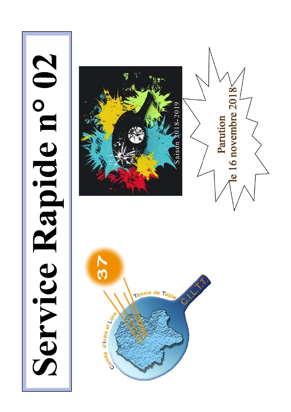# Service Rapide n° 02





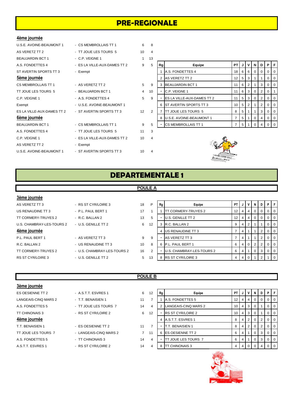# **PRE-REGIONALE**

### **4ème journée**

| U.S.E. AVOINE-BEAUMONT 1   | - CS MEMBROLLAIS TT 1        | 6  | 8  |    |                               |                 |                |                 |                |          |                |     |
|----------------------------|------------------------------|----|----|----|-------------------------------|-----------------|----------------|-----------------|----------------|----------|----------------|-----|
| AS VERETZ TT 2             | - TT JOUE LES TOURS 5        | 10 | 4  |    |                               |                 |                |                 |                |          |                |     |
| <b>BEAUJARDIN BCT 1</b>    | - C.P. VEIGNE 1              |    | 13 |    |                               |                 |                |                 |                |          |                |     |
| A.S. FONDETTES 4           | - ES LA VILLE-AUX-DAMES TT 2 | 9  | 5  | Rg | Equipe                        | PT I            | JI             |                 | VINI           | D        | PF             |     |
| ST AVERTIN SPORTS TT 3     | - Exempt                     |    |    |    | A.S. FONDETTES 4              | 18 <sup>1</sup> |                | 6 6             | $\overline{0}$ | $\Omega$ |                |     |
| 5ème journée               |                              |    |    |    | AS VERETZ TT 2                | 12 <sup>2</sup> |                | $5 \mid 3 \mid$ |                |          | $\Omega$       |     |
| CS MEMBROLLAIS TT 1        | - AS VERETZ TT 2             | 5  | 9  |    | <b>BEAUJARDIN BCT 1</b>       | 11              | 6              | $2^{\circ}$     |                | 3        |                | -0  |
| TT JOUE LES TOURS 5        | - BEAUJARDIN BCT 1           | 4  | 10 |    | C.P. VEIGNE 1                 | 11              |                | 6 3             | $\overline{0}$ | 2        | $\Omega$       |     |
| C.P. VEIGNE 1              | - A.S. FONDETTES 4           | 5  | 9  |    | ES LA VILLE-AUX-DAMES TT 2    | 11              | 5 <sub>1</sub> | 3 <sup>1</sup>  | $\overline{0}$ | 2        |                | -0  |
| Exempt                     | - U.S.E. AVOINE-BEAUMONT 1   |    |    |    | <b>ST AVERTIN SPORTS TT 3</b> | 10 <sup>1</sup> | 5 <sub>1</sub> | 2 <sup>1</sup>  |                | 2        |                |     |
| ES LA VILLE-AUX-DAMES TT 2 | - ST AVERTIN SPORTS TT 3     | 12 | 2  |    | TT JOUE LES TOURS 5           | 8               | 5 <sub>1</sub> |                 |                | 3        | $\mathbf{0}$   | -0  |
| 6ème journée               |                              |    |    |    | U.S.E. AVOINE-BEAUMONT 1      | 7               | 5 <sub>1</sub> | <u>1</u>        | $\overline{0}$ | 4        | 0 <sup>1</sup> | - 0 |
| <b>BEAUJARDIN BCT 1</b>    | - CS MEMBROLLAIS TT 1        | 9  | 5  |    | CS MEMBROLLAIS TT 1           | 7               | 5 <sup>1</sup> |                 | $\Omega$       |          |                | - 0 |
| A.S. FONDETTES 4           | - TT JOUE LES TOURS 5        | 11 | 3  |    |                               |                 |                |                 |                |          |                |     |
| C.P. VEIGNE 1              | - ES LA VILLE-AUX-DAMES TT 2 | 10 | 4  |    |                               |                 |                |                 |                |          |                |     |
| AS VERETZ TT 2             | - Exempt                     |    |    |    |                               |                 |                |                 |                |          |                |     |
| U.S.E. AVOINE-BEAUMONT 1   | - ST AVERTIN SPORTS TT 3     | 10 | 4  |    |                               |                 |                |                 |                |          |                |     |
|                            |                              |    |    |    |                               |                 |                |                 |                |          |                |     |

| 13             |    |                            |                |   |                |          |   |          |          |
|----------------|----|----------------------------|----------------|---|----------------|----------|---|----------|----------|
| 5              | Rq | Equipe                     | PT             | J | v              | N        | D | Р        | F        |
|                | 1  | A.S. FONDETTES 4           | 18             | 6 | 6              | $\Omega$ | 0 | 0        | $\Omega$ |
|                | 2  | <b>AS VERETZ TT 2</b>      | 12             | 5 | 3              | 1        | 1 | 0        | $\Omega$ |
| 9              | 3  | <b>BEAUJARDIN BCT 1</b>    | 11             | 6 | $\overline{2}$ |          | 3 | 0        | 0        |
| 10             | -  | <b>C.P. VEIGNE 1</b>       | 11             | 6 | 3              | $\Omega$ | 2 | 0        | 1        |
| 9              | ۰  | ES LA VILLE-AUX-DAMES TT 2 | 11             | 5 | 3              | $\Omega$ | 2 | 0        | $\Omega$ |
|                | 6  | ST AVERTIN SPORTS TT 3     | 10             | 5 | 2              |          | 2 | 0        | $\Omega$ |
| $\mathfrak{p}$ | 7  | TT JOUE LES TOURS 5        | 8              | 5 | 1              | 1        | 3 | $\Omega$ | $\Omega$ |
|                | 8  | U.S.E. AVOINE-BEAUMONT 1   | $\overline{7}$ | 5 | 1              | $\Omega$ | 4 | 0        | $\Omega$ |
| 5              |    | <b>CS MEMBROLLAIS TT 1</b> | 7              | 5 |                | $\Omega$ | 4 | O        | $\Omega$ |



# **DEPARTEMENTALE 1**

### **POULE A**

### **3ème journée**

US RENAUDINE TT 3 - P.L. PAUL BERT 1 17 TT CORMERY-TRUYES 2 - R.C. BALLAN 2 13 U.S. CHAMBRAY-LES-TOURS 2 - U.S. GENILLE TT 2 6 **4ème journée** P.L. PAUL BERT 1 - AS VERETZ TT 3 9 R.C. BALLAN 2 **- US RENAUDINE TT 3** 10

# AS VERETZ TT 3 **AS VERETZ TT 3** AS VERETZ TT 3

- TT CORMERY-TRUYES 2 U.S. CHAMBRAY-LES-TOURS 2 16
- RS ST CYR/LOIRE 3 U.S. GENILLE TT 2 5

| P             | Rg | Equipe                    | PT | J | v        | N        | D        | P | F        |
|---------------|----|---------------------------|----|---|----------|----------|----------|---|----------|
| 1             |    | TT CORMERY-TRUYES 2       | 12 | 4 | 4        | $\Omega$ | $\Omega$ | O | $\Omega$ |
| 5             |    | U.S. GENILLE TT 2         | 12 | 4 | 4        | $\Omega$ | $\Omega$ | O | 0        |
| 12            | 3  | R.C. BALLAN 2             | 9  | 4 | 2        | 1        |          | O | $\Omega$ |
|               | 4  | US RENAUDINE TT 3         | 7  | 4 | 1        | 1        | 2        | O | $\Omega$ |
| 9             |    | AS VERETZ TT 3            | 7  | 4 | 1        | 1        | 2        | O | $\Omega$ |
| 8             | 6  | P.L. PAUL BERT 1          | 6  | 4 | 0        | 2        | 2        | O | $\Omega$ |
| $\mathcal{P}$ |    | U.S. CHAMBRAY-LES-TOURS 2 | 6  | 4 | 1        | 0        | 3        | O | 0        |
| 13            | 8  | <b>RS ST CYR/LOIRE 3</b>  | 4  | 4 | $\Omega$ | 1        | 2        |   |          |

### **3ème journée**

# ES OESIENNE TT 2 **A.S.T.T. ESVRES 1** 6 T.T. BENAISIEN 1 - ES OESIENNE TT 2 11 TT JOUE LES TOURS 7 - LANGEAIS-CINQ MARS 2 7 A.S. FONDETTES 5 - TT CHINONAIS 3 44

# **POULE B**

- 
- 
- A.S.T.T. ESVRES 1 RS ST CYR/LOIRE 2 14

| ES OESIENNE TT 2     | - A.S.T.T. ESVRES 1    | 6              | 12 | Rg | Equipe                     | PT I |                |              | N        | D | PF             |                  |
|----------------------|------------------------|----------------|----|----|----------------------------|------|----------------|--------------|----------|---|----------------|------------------|
| LANGEAIS-CINQ MARS 2 | - T.T. BENAISIEN 1     | 11             |    |    | A.S. FONDETTES 5           | 12 I |                | 4            | 0        | 0 | $0$   $0$      |                  |
| A.S. FONDETTES 5     | - TT JOUE LES TOURS 7  | 14             | 4  |    | LANGEAIS-CINQ MARS 2       | 10   | <sup>4</sup>   | -3           |          |   | $0$   $0$      |                  |
| TT CHINONAIS 3       | - RS ST CYR/LOIRE 2    | 6              | 12 |    | <b>RS ST CYR/LOIRE 2</b>   | 10 I | 4 <sup>1</sup> | - 3          | 0        |   | $0$   $0$      |                  |
| 4ème journée         |                        |                |    |    | A.S.T.T. ESVRES 1          | 8    |                | $^{\circ}$ 2 | $\Omega$ |   | 0 <sub>0</sub> |                  |
| T.T. BENAISIEN 1     | - ES OESIENNE TT 2     | 11             |    |    | <b>T.T. BENAISIEN 1</b>    | 8    |                | $^{\circ}$ 2 | $\Omega$ |   | $0$   $0$      |                  |
| TT JOUE LES TOURS 7  | - LANGEAIS-CINO MARS 2 | $\overline{7}$ | 11 |    | 6 <b>IES OESIENNE TT 2</b> | 6    |                |              | 0        | 3 | $01$ 0         |                  |
| A.S. FONDETTES 5     | - TT CHINONAIS 3       | 14             | 4  |    | TT JOUE LES TOURS 7        | 6    |                |              | $\Omega$ | 3 | $0$   $0$      |                  |
| A.S.T.T. ESVRES 1    | - RS ST CYR/LOIRE 2    | 14             |    | 8  | <b>TT CHINONAIS 3</b>      |      |                |              |          |   |                | $\overline{1}$ 0 |
|                      |                        |                |    |    |                            |      |                |              |          |   |                |                  |

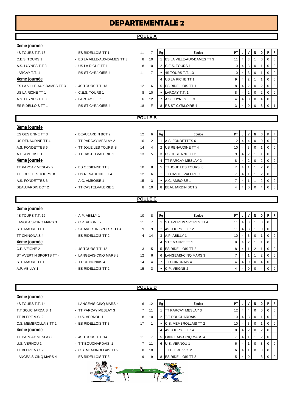# **DEPARTEMENTALE 2**

### **POULE A**

| 3ème journée               |                              |    |                |                          |                                   |                |                |                |   |                |    |                |  |
|----------------------------|------------------------------|----|----------------|--------------------------|-----------------------------------|----------------|----------------|----------------|---|----------------|----|----------------|--|
| 4S TOURS T.T. 13           | - ES RIDELLOIS TT 1          | 11 | $\overline{7}$ | Rg                       | Equipe                            | <b>PT</b>      |                | V              | N | D              | PF |                |  |
| C.E.S. TOURS 1             | - ES LA VILLE-AUX-DAMES TT 3 | 8  | 10             |                          | <b>ES LA VILLE-AUX-DAMES TT 3</b> | 11             | 4              | 3              |   | 0              | 0  | l 0            |  |
| A.S. LUYNES T.T 3          | - US LA RICHE TT 1           | 8  | 10             |                          | 2 C.E.S. TOURS 1                  | 10             |                | 3              | 0 |                | 0  | 0 I            |  |
| LARCAY T.T. 1              | - RS ST CYR/LOIRE 4          | 11 | $\overline{7}$ |                          | 4S TOURS T.T. 13                  | 10             | 4              | 3              | 0 |                | 0  | <b>0</b>       |  |
| 4ème journée               |                              |    |                |                          | 4 US LA RICHE TT 1                | 9              | 4              | $\overline{2}$ |   |                | 0  | <b>0</b>       |  |
| ES LA VILLE-AUX-DAMES TT 3 | - 4S TOURS T.T. 13           | 12 | 6              |                          | 5 ES RIDELLOIS TT 1               | 8              | 4              | $\overline{2}$ | 0 | 2              | 0  | $\overline{0}$ |  |
| US LA RICHE TT 1           | - C.E.S. TOURS 1             | 8  | 10             | ٠                        | LARCAY T.T. 1                     | 8              | 4              | $\overline{2}$ | 0 | 2              | 0  | $\overline{0}$ |  |
| A.S. LUYNES T.T 3          | - LARCAY T.T. 1              | 6  | 12             |                          | 7 A.S. LUYNES T.T 3               | 4              | $\overline{4}$ | $\mathbf 0$    | 0 | 4              | 0  | <b>0</b>       |  |
| <b>ES RIDELLOIS TT 1</b>   | - RS ST CYR/LOIRE 4          | 18 | F              |                          | 8 RS ST CYR/LOIRE 4               | 3              | 4              | $\mathbf 0$    | 0 | 3              | 0  |                |  |
|                            |                              |    |                |                          |                                   |                |                |                |   |                |    |                |  |
| <b>POULE B</b>             |                              |    |                |                          |                                   |                |                |                |   |                |    |                |  |
| 3ème journée               |                              |    |                |                          |                                   |                |                |                |   |                |    |                |  |
| <b>ES OESIENNE TT 3</b>    | - BEAUJARDIN BCT 2           | 12 | 6              | Rg                       | Equipe                            | <b>PT</b>      |                | V              | N | D              | PF |                |  |
| US RENAUDINE TT 4          | - TT PARCAY MESLAY 2         | 16 | $\overline{2}$ |                          | A.S. FONDETTES 6                  | 12             | 4              | 4              | 0 | 0              | 0  | l 0            |  |
| A.S. FONDETTES 6           | - TT JOUE LES TOURS 8        | 14 | 4              |                          | 2 US RENAUDINE TT 4               | 10             |                | 3              | 0 |                | 0  | 0 I            |  |
| A.C. AMBOISE 1             | - TT CASTELVALERIE 1         | 13 | 5              | 3                        | <b>ES OESIENNE TT 3</b>           | 9              | 4              | $\overline{2}$ |   |                | 0  | $\overline{0}$ |  |
| 4ème journée               |                              |    |                | 4                        | <b>ITT PARCAY MESLAY 2</b>        | 8              | 4              | $\overline{2}$ | 0 | $\overline{2}$ | 0  | $\overline{0}$ |  |
| TT PARCAY MESLAY 2         | - ES OESIENNE TT 3           | 10 | 8              |                          | 5 TT JOUE LES TOURS 8             | $\overline{7}$ | 4              | 1              |   | $\overline{2}$ | 0  | <b>0</b>       |  |
| TT JOUE LES TOURS 8        | - US RENAUDINE TT 4          | 12 | 6              | $\overline{\phantom{a}}$ | <b>TT CASTELVALERIE 1</b>         | 7              | 4              | 1              |   | 2              | 0  | $\overline{0}$ |  |
|                            |                              |    |                |                          |                                   |                |                |                |   |                |    |                |  |
| A.S. FONDETTES 6           | - A.C. AMBOISE 1             | 15 | 3              |                          | A.C. AMBOISE 1                    | 7              | 4              | $\mathbf{1}$   |   | $\overline{2}$ | 0  | <b>0</b>       |  |
| <b>BEAUJARDIN BCT 2</b>    | - TT CASTELVALERIE 1         | 8  | 10             |                          | 8 BEAUJARDIN BCT 2                | 4              | $\overline{4}$ | $\mathbf 0$    | 0 | 4              | 0  | <b>0</b>       |  |

### **POULE C**

| 3ème journée           |                          |                |    |    |                               |      |     |     |                |                |                |
|------------------------|--------------------------|----------------|----|----|-------------------------------|------|-----|-----|----------------|----------------|----------------|
| 4S TOURS T.T. 12       | $-$ A.P. ABILLY 1        | 10             | 8  | Rg | Equipe                        | PT I |     | JV  | N              | D I            | PF             |
| LANGEAIS-CINQ MARS 3   | - C.P. VEIGNE 2          | 11             |    |    | <b>ST AVERTIN SPORTS TT 4</b> | 11   |     | 4 3 |                | 0              | $01$ 0         |
| STE MAURE TT 1         | - ST AVERTIN SPORTS TT 4 | 9              | 9  |    | 4S TOURS T.T. 12              | 11   |     | 4 3 |                | 0              | $01$ 0         |
| <b>TT CHINONAIS 4</b>  | - ES RIDELLOIS TT 2      | $\overline{4}$ | 14 | 3  | A.P. ABILLY 1                 | 10   |     | 4 3 | - 0            |                | 0 <sub>0</sub> |
| 4ème journée           |                          |                |    | 4  | <b>STE MAURE TT 1</b>         | 9    | 4 I | 2   |                |                | 0 <sub>0</sub> |
| C.P. VEIGNE 2          | - 4S TOURS T.T. 12       | 3              | 15 | 5  | <b>IES RIDELLOIS TT 2</b>     | 8    | 4 I |     | $\overline{2}$ |                | 0 <sub>0</sub> |
| ST AVERTIN SPORTS TT 4 | - LANGEAIS-CINQ MARS 3   | 12             | 6  | 6  | LANGEAIS-CINQ MARS 3          |      | 4 I |     |                | 2 <sup>1</sup> | $01$ 0         |
| STE MAURE TT 1         | - TT CHINONAIS 4         | 14             | 4  |    | <b>ITT CHINONAIS 4</b>        |      |     | 4 0 | $\Omega$       | $\overline{4}$ | $01$ 0         |
| A.P. ABILLY 1          | - ES RIDELLOIS TT 2      | 15             | 3  | ۰  | C.P. VEIGNE 2                 |      | 4   |     |                | 4              | $0$   0        |
|                        |                          |                |    |    |                               |      |     |     |                |                |                |

### **POULE D**

| 3ème journée          |                         |                |                |    |                        |                 |   |                      |                |   |                |                |
|-----------------------|-------------------------|----------------|----------------|----|------------------------|-----------------|---|----------------------|----------------|---|----------------|----------------|
| 4S TOURS T.T. 14      | - LANGEAIS-CINO MARS 4  | 6              | 12             | Rg | Equipe                 | <b>PT</b>       |   |                      | N I            | D | P              | F.             |
| T.T BOUCHARDAIS 1     | - TT PARCAY MESLAY 3    | $\overline{7}$ | 11             |    | TT PARCAY MESLAY 3     | 12 <sup>2</sup> | 4 | 4                    | $\overline{0}$ | 0 | $\overline{0}$ | $\overline{0}$ |
| TT BLERE V.C. 2       | - U.S. VERNOU 1         | 8              | 10             |    | 2 T.T BOUCHARDAIS 1    | 10              | 4 | 3                    | 0              |   | 0              | $\overline{0}$ |
| C.S. MEMBROLLAIS TT 2 | - ES RIDELLOIS TT 3     | 17             |                |    | C.S. MEMBROLLAIS TT 2  | 10              | 4 | 3                    | $\overline{0}$ |   | $\overline{0}$ | $\overline{0}$ |
| 4ème journée          |                         |                |                | 4  | 4S TOURS T.T. 14       | 8               | 4 | $\mathbf{2}^{\circ}$ | $\overline{0}$ |   | $\overline{0}$ | $\overline{0}$ |
| TT PARCAY MESLAY 3    | - 4S TOURS T.T. 14      | 11             | $\overline{7}$ |    | 5 LANGEAIS-CINQ MARS 4 | $\overline{7}$  | 4 |                      |                |   | 0              | $\mathbf 0$    |
| U.S. VERNOU 1         | - T.T BOUCHARDAIS 1     | $\overline{7}$ | 11             |    | 6 U.S. VERNOU 1        | 6               | 4 |                      | 0              | 3 | 0 <sup>1</sup> | $\overline{0}$ |
| TT BLERE V.C. 2       | - C.S. MEMBROLLAIS TT 2 | 8              | 10             |    | TT BLERE V.C. 2        | 6               | 4 |                      | $\overline{0}$ | 3 | $\overline{0}$ | $\overline{0}$ |
| LANGEAIS-CINQ MARS 4  | - ES RIDELLOIS TT 3     | 9              | 9              |    | 8 ES RIDELLOIS TT 3    | 5               | 4 | 0                    |                | 3 | 0              | $\overline{0}$ |
|                       |                         |                |                |    |                        |                 |   |                      |                |   |                |                |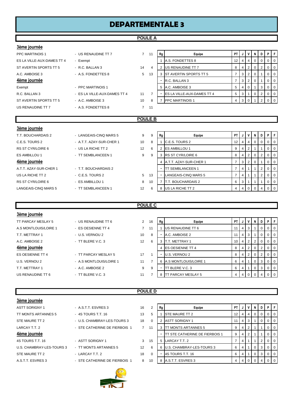### **DEPARTEMENTALE 3**

### **POULE A**

| 3ème journée               |                              |                |                |          |                                   |                |              |                |             |   |                |              |
|----------------------------|------------------------------|----------------|----------------|----------|-----------------------------------|----------------|--------------|----------------|-------------|---|----------------|--------------|
| <b>PPC MARTINOIS 1</b>     | - US RENAUDINE TT 7          | $\overline{7}$ | 11             | Rg       | Equipe                            | PT             | J            | v              | N           | D | P              | $\mathsf F$  |
| ES LA VILLE-AUX-DAMES TT 4 | - Exempt                     |                |                |          | A.S. FONDETTES 8                  | 12             | 4            | 4              | 0           | 0 | 0              | $\mathbf 0$  |
| ST AVERTIN SPORTS TT 5     | - R.C. BALLAN 3              | 14             | 4              | 2        | US RENAUDINE TT 7                 | 8              | 4            | $\overline{2}$ | 0           | 2 | 0              | 0            |
| A.C. AMBOISE 3             | - A.S. FONDETTES 8           | 5              | 13             | 3        | <b>IST AVERTIN SPORTS TT 5</b>    | $\overline{7}$ | 3            | 2              | 0           |   | 0              | $\mathbf 0$  |
| 4ème journée               |                              |                |                |          | R.C. BALLAN 3                     | 7              | 3            | 2              | 0           |   | 0              | $\mathbf 0$  |
| Exempt                     | - PPC MARTINOIS 1            |                |                |          | 5 A.C. AMBOISE 3                  | 5              | 4            | $\mathbf 0$    |             | 3 | 0              | $\mathbf 0$  |
| R.C. BALLAN 3              | - ES LA VILLE-AUX-DAMES TT 4 | 11             | $\overline{7}$ |          | <b>ES LA VILLE-AUX-DAMES TT 4</b> | 5              | 3            |                | 0           | 2 | $\mathbf{0}$   | $\mathbf{0}$ |
| ST AVERTIN SPORTS TT 5     | - A.C. AMBOISE 3             | 10             | 8              | 7        | <b>PPC MARTINOIS 1</b>            | 4              | 3            | $\mathbf 0$    |             | 2 | $\mathbf 0$    | $\mathbf 0$  |
| US RENAUDINE TT 7          | - A.S. FONDETTES 8           | $\overline{7}$ | 11             |          |                                   |                |              |                |             |   |                |              |
|                            |                              |                |                |          |                                   |                |              |                |             |   |                |              |
|                            |                              | <b>POULE B</b> |                |          |                                   |                |              |                |             |   |                |              |
|                            |                              |                |                |          |                                   |                |              |                |             |   |                |              |
| 3ème journée               |                              |                |                |          |                                   |                |              |                |             |   |                |              |
| T.T. BOUCHARDAIS 2         | - LANGEAIS-CINQ MARS 5       | 9              | 9              | Rg       | Equipe                            | <b>PT</b>      | $\mathsf{J}$ | $\mathsf{v}$   | N           | D | P              | $\mathsf F$  |
| C.E.S. TOURS 2             | - A.T.T. AZAY-SUR-CHER 1     | 10             | 8              |          | C.E.S. TOURS 2                    | 12             | 4            | 4              | $\mathbf 0$ | 0 | 0              | $\mathbf 0$  |
| RS ST CYR/LOIRE 6          | - US LA RICHE TT 2           | 12             | 6              | 2        | <b>ES AMBILLOU 1</b>              | 9              | 4            | 2              |             |   | 0              | $\mathbf 0$  |
| <b>ES AMBILLOU 1</b>       | - TT SEMBLANCEEN 1           | 9              | 9              | 3        | <b>RS ST CYR/LOIRE 6</b>          | 8              | 4            | $\overline{2}$ | 0           | 2 | $\mathbf{0}$   | $\mathbf 0$  |
| 4ème journée               |                              |                |                | $\Delta$ | A.T.T. AZAY-SUR-CHER 1            | $\overline{7}$ | 3            | $\overline{2}$ | 0           |   | 0              | $\mathbf 0$  |
| A.T.T. AZAY-SUR-CHER 1     | - T.T. BOUCHARDAIS 2         |                |                |          | <b>TT SEMBLANCEEN 1</b>           | 7              | 4            |                |             | 2 | $\overline{0}$ | $\mathbf 0$  |
| US LA RICHE TT 2           | - C.E.S. TOURS 2             | 5              | 13             |          | LANGEAIS-CINQ MARS 5              | $\overline{7}$ | 4            |                |             | 2 | $\overline{0}$ | $\mathbf 0$  |

### **POULE C**

RS ST CYR/LOIRE 6 - ES AMBILLOU 1 8 10 7 T.T. BOUCHARDAIS 2 6

LANGEAIS-CINQ MARS 5 - TT SEMBLANCEEN 1 12 6 8 US LA RICHE TT 2

| 3ème journée          |                         |                 |    |                          |                              |           |                |                 |                |                |             |                |
|-----------------------|-------------------------|-----------------|----|--------------------------|------------------------------|-----------|----------------|-----------------|----------------|----------------|-------------|----------------|
| TT PARCAY MESLAY 5    | - US RENAUDINE TT 6     | $\overline{2}$  | 16 | Rg                       | Equipe                       | <b>PT</b> | J              | $\mathsf{v}$    | N              |                | DIPIF       |                |
| A.S MONTLOUIS/LOIRE 1 | - ES OESIENNE TT 4      | $\overline{7}$  | 11 |                          | US RENAUDINE TT 6            |           | $\overline{4}$ | 3 <sup>1</sup>  |                | $\overline{0}$ | $01$ 0      |                |
| T.T. METTRAY 1        | - U.S. VERNOU 2         | 10              | 8  |                          | A.C. AMBOISE 2               |           | 4 <sup>1</sup> | 3 I             |                | 0<br>H.        |             | $\overline{0}$ |
| A.C. AMBOISE 2        | - TT BLERE V.C. 3       | 12 <sup>°</sup> | 6  | 3                        | <b>IT.T. METTRAY 1</b>       | 10        | 4              | 2 <sup>1</sup>  | 2 <sup>1</sup> |                | $0$   0     |                |
| 4ème journée          |                         |                 |    | 4                        | <b>IES OESIENNE TT 4</b>     | 8         |                | $4 \mid 2 \mid$ | $\overline{0}$ |                | $2 \ 0 \ 0$ |                |
| ES OESIENNE TT 4      | - TT PARCAY MESLAY 5    | 17              |    |                          | U.S. VERNOU 2                | 8         | 4              | 2 <sub>1</sub>  | $\mathbf{0}$   | 2 <sub>1</sub> | $\mathbf 0$ | l 0            |
| U.S. VERNOU 2         | - A.S MONTLOUIS/LOIRE 1 | 11              |    | 6                        | <b>A.S MONTLOUIS/LOIRE 1</b> | 6         | 4              |                 | $\Omega$       | 3 <sup>1</sup> | $\Omega$    | <b>10</b>      |
| T.T. METTRAY 1        | - A.C. AMBOISE 2        | 9               | 9  | $\overline{\phantom{0}}$ | TT BLERE V.C. 3              | 6         | 4              | $\overline{1}$  | $\overline{0}$ |                | 3000        |                |
| US RENAUDINE TT 6     | $-$ TT BLERE V.C. 3     | 11              |    | 8                        | <b>TT PARCAY MESLAY 5</b>    | 4         | 4              | $\Omega$        |                | 4              |             |                |
|                       |                         |                 |    |                          |                              |           |                |                 |                |                |             |                |

**POULE D**

### **3ème journée**

| <b>ASTT SORIGNY 1</b>     |  |
|---------------------------|--|
| TT MONTS ARTANNES 5       |  |
| STE MAURE TT 2            |  |
| LARCAY T.T. 2             |  |
| 4ème journée              |  |
| 4S TOURS T.T. 16          |  |
| U.S. CHAMBRAY-LES-TOURS 3 |  |
| STE MAURE TT 2            |  |
| A S.T.T. ESVRES 3         |  |



| vunu juurnuu              |                               |                   |          |    |                                       |      |                |                |     |          |          |                |
|---------------------------|-------------------------------|-------------------|----------|----|---------------------------------------|------|----------------|----------------|-----|----------|----------|----------------|
| ASTT SORIGNY 1            | - A.S.T.T. ESVRES 3           | 16                | 2        | Rg | Equipe                                | PT I | J              | $\mathsf{v}$   | - N | D        | PIF      |                |
| TT MONTS ARTANNES 5       | - 4S TOURS T.T. 16            | 13                | 5        |    | <b>STE MAURE TT 2</b>                 | 12   | 4 <sup>1</sup> | -41            |     | $\Omega$ | $01$ 0   |                |
| STE MAURE TT 2            | - U.S. CHAMBRAY-LES-TOURS 3   | 18                | $\Omega$ |    | <b>ASTT SORIGNY 1</b>                 |      | $\overline{4}$ | <sup>3</sup>   |     |          | $01$ 0   |                |
| LARCAY T.T. 2             | - STE CATHERINE DE FIERBOIS 1 | $\overline{7}$    | 11       |    | <b>TT MONTS ARTANNES 5</b>            |      | 4'             |                |     |          | $\Omega$ | $\overline{0}$ |
| 4ème journée              |                               |                   |          |    | <b>TT STE CATHERINE DE FIERBOIS 1</b> | 9    | $\overline{4}$ |                |     |          | $\Omega$ | $\overline{0}$ |
| 4S TOURS T.T. 16          | - ASTT SORIGNY 1              | 3                 | 15       |    | 5 LARCAY T.T. 2                       |      | 4              |                |     |          | $\Omega$ | <b>0</b>       |
| U.S. CHAMBRAY-LES-TOURS 3 | - TT MONTS ARTANNES 5         | $12 \overline{ }$ | 6        |    | U.S. CHAMBRAY-LES-TOURS 3             | 6    | 4              |                |     | 3        | $01$ 0   |                |
| STE MAURE TT 2            | - LARCAY T.T. 2               | 18                | $\Omega$ |    | 4S TOURS T.T. 16                      | 6    |                |                |     | 3        | $01$ 0   |                |
| A.S.T.T. ESVRES 3         | - STE CATHERINE DE FIERBOIS 1 | 8                 | 10       |    | A.S.T.T. ESVRES 3                     |      | 4 <sup>1</sup> | $\overline{0}$ |     |          | $01$ 0   |                |

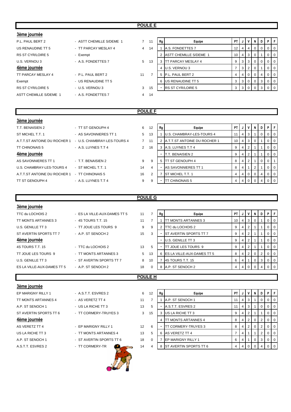### **POULE E**

| 3ème journée             |                          |                |    |                          |                               |                 |                |                |                |          |                |                  |
|--------------------------|--------------------------|----------------|----|--------------------------|-------------------------------|-----------------|----------------|----------------|----------------|----------|----------------|------------------|
| P.L. PAUL BERT 2         | - ASTT CHEMILLE S/DEME 1 | $7^{\circ}$    | 11 | Rg                       | Equipe                        | <b>PT</b>       | J              |                | <b>VIN</b>     | D        | PF             |                  |
| US RENAUDINE TT 5        | - TT PARCAY MESLAY 4     | $\overline{4}$ | 14 |                          | A.S. FONDETTES 7              | 12 <sup>°</sup> | $\overline{4}$ | $\overline{4}$ | 0              |          | 0 <sup>1</sup> |                  |
| <b>RS ST CYR/LOIRE 5</b> | - Exempt                 |                |    |                          | <b>ASTT CHEMILLE S/DEME 1</b> | 10              | 4              | 3 <sup>1</sup> | 0              |          |                | $\overline{1}$ 0 |
| U.S. VERNOU 3            | - A.S. FONDETTES 7       | 5 <sup>5</sup> | 13 |                          | <b>IT PARCAY MESLAY 4</b>     | 9               | 3 <sup>1</sup> | 3 I            | $\overline{0}$ | $\Omega$ |                | $\overline{1}$ 0 |
| 4ème journée             |                          |                |    | 4                        | U.S. VERNOU 3                 |                 | 3 <sup>1</sup> | 2 <sub>1</sub> | 0              |          | 0 <sup>1</sup> |                  |
| TT PARCAY MESLAY 4       | - P.L. PAUL BERT 2       | 11             |    | 5                        | P.L. PAUL BERT 2              | 4               | 4              | $\overline{0}$ | $\overline{0}$ | 4        |                | $\overline{1}$ 0 |
| Exempt                   | - US RENAUDINE TT 5      |                |    | 6                        | US RENAUDINE TT 5             | 3               | 3 <sup>1</sup> | $\Omega$       | $^{\circ}$ 0   | 3        |                | $\overline{1}$ 0 |
| <b>RS ST CYR/LOIRE 5</b> | - U.S. VERNOU 3          | 3              | 15 | $\overline{\phantom{a}}$ | <b>RS ST CYR/LOIRE 5</b>      | 3               | 3 <sup>1</sup> | $\overline{0}$ | $\Omega$       | 3        | 0 <sub>0</sub> |                  |
| ASTT CHEMILLE S/DEME 1   | - A.S. FONDETTES 7       | $\overline{4}$ | 14 |                          |                               |                 |                |                |                |          |                |                  |
|                          |                          |                |    |                          |                               |                 |                |                |                |          |                |                  |

### **POULE F**

| 3ème journée                                  |                             |                |
|-----------------------------------------------|-----------------------------|----------------|
| T.T. BENAISIEN 2                              | - TT ST GENOUPH 4           | 6              |
| ST MICHEL T.T. 1                              | - AS SAVONNIERES TT 1       | 5              |
| A.T.T.ST ANTOINE DU ROCHER 1                  | - U.S. CHAMBRAY-LES-TOURS 4 | $\overline{7}$ |
| <b>TT CHINONAIS 5</b>                         | - A.S. LUYNES T.T 4         | 2              |
| 4ème journée                                  |                             |                |
| AS SAVONNIERES TT 1                           | - T.T. BENAISIEN 2          | 9              |
| U.S. CHAMBRAY-LES-TOURS 4                     | - ST MICHEL T.T. 1          | 14             |
| A T T ST ANTOINE DU ROCHER 1 - TT CHINONAIS 5 |                             | 16             |

| vunu juurnuu                 |                             |                |    |    |                                     |                 |                |              |          |          |                |                |
|------------------------------|-----------------------------|----------------|----|----|-------------------------------------|-----------------|----------------|--------------|----------|----------|----------------|----------------|
| T.T. BENAISIEN 2             | - TT ST GENOUPH 4           | 6              | 12 | Rg | Equipe                              | PT I            | J              | $\mathsf{v}$ | - N      | D        | <b>P</b> F     |                |
| ST MICHEL T.T. 1             | - AS SAVONNIERES TT 1       | 5              | 13 |    | U.S. CHAMBRAY-LES-TOURS 4           |                 | 4 <sup>1</sup> | 3            |          |          | $01$ 0         |                |
| A.T.T.ST ANTOINE DU ROCHER 1 | - U.S. CHAMBRAY-LES-TOURS 4 | $\overline{7}$ | 11 |    | <b>A.T.T.ST ANTOINE DU ROCHER 1</b> | 10 <sup>1</sup> | 4 <sup>1</sup> | l 3 l        |          |          | $01$ 0         |                |
| TT CHINONAIS 5               | - A.S. LUYNES T.T 4         | $\overline{2}$ | 16 |    | A.S. LUYNES T.T 4                   |                 | $4^{\circ}$    |              |          |          |                | $01$ 0         |
| 4ème journée                 |                             |                |    |    | T.T. BENAISIEN 2                    |                 | 4              |              |          |          | 0 <sup>1</sup> |                |
| AS SAVONNIERES TT 1          | - T.T. BENAISIEN 2          | 9              | -9 |    | <b>ITT ST GENOUPH 4</b>             | 8               | $\overline{4}$ |              |          | $\Omega$ | $\Omega$       |                |
| U.S. CHAMBRAY-LES-TOURS 4    | - ST MICHEL T.T. 1          | 14             | 4  |    | AS SAVONNIERES TT 1                 | 8               | 4              |              |          |          | $\overline{0}$ | $\overline{0}$ |
| A.T.T.ST ANTOINE DU ROCHER 1 | - TT CHINONAIS 5            | 16             | 2  |    | <b>ST MICHEL T.T. 1</b>             |                 | $\overline{4}$ | $\Omega$     | $\Omega$ | 4        | $01$ 0         |                |
| TT ST GENOUPH 4              | $-$ A.S. LUYNES T.T 4       | 9              | 9  | -  | <b>TT CHINONAIS 5</b>               |                 |                |              |          |          | 0 <sup>1</sup> |                |
|                              |                             |                |    |    |                                     |                 |                |              |          |          |                |                |

### **POULE G**

| 3ème journée               |                              |    |                |    |                                    |           |    |          |   |   |                |                |
|----------------------------|------------------------------|----|----------------|----|------------------------------------|-----------|----|----------|---|---|----------------|----------------|
| TTC du LOCHOIS 2           | - ES LA VILLE-AUX-DAMES TT 5 | 11 | $\overline{7}$ | Rg | Equipe                             | <b>PT</b> | ل. | ۷        | N | D | P              | ıF.            |
| TT MONTS ARTANNES 3        | - 4S TOURS T.T. 15           | 11 |                |    | <b>ITT MONTS ARTANNES 3</b>        | 10        | 4  | 3        | 0 |   | $\Omega$       | $\overline{0}$ |
| U.S. GENILLE TT 3          | - TT JOUE LES TOURS 9        | 9  | 9              |    | TTC du LOCHOIS 2                   | 9         |    | 2        |   |   |                |                |
| ST AVERTIN SPORTS TT 7     | - A.P. ST SENOCH 2           | 15 | 3              |    | ST AVERTIN SPORTS TT 7             | 9         | 4  | 2        |   |   | 0              | $\overline{0}$ |
| 4ème journée               |                              |    |                |    | <b>U.S. GENILLE TT 3</b>           | 9         | 4  | 2        |   |   | $\overline{0}$ | 0              |
| 4S TOURS T.T. 15           | - TTC du LOCHOIS 2           | 13 | 5              |    | TT JOUE LES TOURS 9                | 9         | 4  | 2        |   |   | $\Omega$       | $\overline{0}$ |
| TT JOUE LES TOURS 9        | - TT MONTS ARTANNES 3        | 5  | 13             | 6  | <b>IES LA VILLE-AUX-DAMES TT 5</b> | 8         | 4  | 2        | 0 | 2 |                |                |
| U.S. GENILLE TT 3          | - ST AVERTIN SPORTS TT 7     | 8  | 10             |    | 4S TOURS T.T. 15                   | 6         | 4  |          | 0 | 3 | $\overline{0}$ | $\overline{0}$ |
| ES LA VILLE-AUX-DAMES TT 5 | - A.P. ST SENOCH 2           | 18 | $\Omega$       | 8  | A.P. ST SENOCH 2                   | 4         |    | $\Omega$ |   |   |                |                |
|                            |                              |    | <b>POULE H</b> |    |                                    |           |    |          |   |   |                |                |
|                            |                              |    |                |    |                                    |           |    |          |   |   |                |                |

### **3ème journée**

# EP MARIGNY RILLY 1 - A.S.T.T. ESVRES 2 6 TT MONTS ARTANNES 4 - AS VERETZ TT 4 11 A.P. ST SENOCH 1 - US LA RICHE TT 3 13 ST AVERTIN SPORTS TT 6 - TT CORMERY-TRUYES 3 3



| EP MARIGNY RILLY 1     | - A.S.T.T. ESVRES 2      | 6  | 12 | Rg | Equipe                        | PT I | J   | $\mathsf{v}$ | N | D | PIF            |                |
|------------------------|--------------------------|----|----|----|-------------------------------|------|-----|--------------|---|---|----------------|----------------|
| TT MONTS ARTANNES 4    | - AS VERETZ TT 4         | 11 |    |    | A.P. ST SENOCH 1              | 11   | 4 I | 3            |   |   |                | ∣ O            |
| A.P. ST SENOCH 1       | - US LA RICHE TT 3       | 13 | 5  |    | A.S.T.T. ESVRES 2             |      |     | 4 3          |   |   |                | l 0            |
| ST AVERTIN SPORTS TT 6 | - TT CORMERY-TRUYES 3    | 3  | 15 |    | 3 US LA RICHE TT 3            | 9    |     | 4 2          |   |   |                | $\mathsf{I}$ 0 |
| 4ème journée           |                          |    |    |    | <b>TT MONTS ARTANNES 4</b>    | 8    |     | 4 2          |   |   | 0 <sub>0</sub> |                |
| <b>AS VERETZ TT 4</b>  | - EP MARIGNY RILLY 1     | 12 | 6  | ۰  | <b>ITT CORMERY-TRUYES 3</b>   | 8    | 4 I |              |   |   |                | ∣ O            |
| US LA RICHE TT 3       | - TT MONTS ARTANNES 4    | 13 | 5  | 6  | AS VERETZ TT 4                |      |     |              |   |   |                | l O            |
| A.P. ST SENOCH 1       | - ST AVERTIN SPORTS TT 6 | 18 |    |    | <b>IEP MARIGNY RILLY 1</b>    | 6    |     |              |   | 3 |                | - 0            |
| A.S.T.T. ESVRES 2      | - TT CORMERY-TR          | 14 |    | 8  | <b>ST AVERTIN SPORTS TT 6</b> |      |     |              |   |   |                | l O            |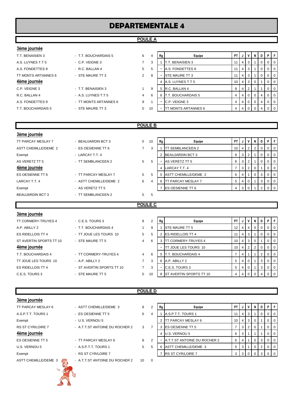# **DEPARTEMENTALE 4**

### **POULE A**

### **3ème journée**

| T.T. BENAISIEN 3    | - T.T. BOUCHARDAIS 5  | 6              | 4  | Rg | Equip                    |
|---------------------|-----------------------|----------------|----|----|--------------------------|
| A.S. LUYNES T.T 5   | - C.P. VEIGNE 3       |                | 3  |    | T.T. BENAISIEN 3         |
| A.S. FONDETTES 9    | - R.C. BALLAN 4       | 5              | 5  |    | A.S. FONDETTES 9         |
| TT MONTS ARTANNES 6 | - STE MAURE TT 3      | $\mathcal{P}$  | 8  | ۰  | <b>STE MAURE TT 3</b>    |
| 4ème journée        |                       |                |    | 4  | A.S. LUYNES T.T 5        |
| C.P. VEIGNE 3       | - T.T. BENAISIEN 3    |                | 9  | 5  | R.C. BALLAN 4            |
| R.C. BALLAN 4       | - A.S. LUYNES T.T 5   | $\overline{4}$ | 6  | 6  | T.T. BOUCHARDAIS 5       |
| A.S. FONDETTES 9    | - TT MONTS ARTANNES 6 | 9              |    | ۰  | C.P. VEIGNE 3            |
| T.T. BOUCHARDAIS 5  | - STE MAURE TT 3      | $\Omega$       | 10 | ۰  | <b>TT MONTS ARTANNES</b> |

| T.T. BENAISIEN 3    | - T.T. BOUCHARDAIS 5   | 6              | 4  | Rg | Equipe                          | PT |                | V               | NI                                                          | D  | PIF            |                |
|---------------------|------------------------|----------------|----|----|---------------------------------|----|----------------|-----------------|-------------------------------------------------------------|----|----------------|----------------|
| A.S. LUYNES T.T 5   | $-C.P. V EIGNE 3$      |                | 3  |    | IT.T. BENAISIEN 3               |    | 4              | 3               |                                                             |    | 0 <sub>0</sub> |                |
| A.S. FONDETTES 9    | $-R.C. BALLAN 4$       | 5              | 5  |    | A.S. FONDETTES 9                |    | 4              | 3               |                                                             |    | 0 <sub>0</sub> |                |
| TT MONTS ARTANNES 6 | - STE MAURE TT 3       | $\overline{2}$ | 8  |    | <b>STE MAURE TT 3</b>           | 11 | 4 <sup>1</sup> | 3               |                                                             |    | 0 <sub>0</sub> |                |
| 4ème journée        |                        |                |    |    | A.S. LUYNES T.T 5               | 10 |                | $4 \mid 3 \mid$ |                                                             |    |                | $\overline{0}$ |
| C.P. VEIGNE 3       | - T.T. BENAISIEN 3     |                | 9  | 5  | R.C. BALLAN 4                   | 9  | 4              | 2               |                                                             |    |                | l O            |
| R.C. BALLAN 4       | - A.S. LUYNES T.T 5    | 4              | 6  | 6  | T.T. BOUCHARDAIS 5              | 4  |                | 4 0 1           |                                                             |    | 0 <sup>1</sup> |                |
| A.S. FONDETTES 9    | - TT MONTS ARTANNES 6  | 9              |    | ۰  | C.P. VEIGNE 3                   | 4  |                | 40              |                                                             | -4 | 0 <sub>0</sub> |                |
| TT ROUCHARDAIS E    | <b>CTE MAILDE TT 2</b> | $\Omega$       | 10 |    | <b>ITT MONTS ADTANNES &amp;</b> |    |                |                 | $\lambda$ $\lambda$ $\lambda$ $\lambda$ $\lambda$ $\lambda$ |    | $\sqrt{2}$     |                |

### **POULE B**

| 3ème journée            |                        |                |    |    |                           |                 |                |                |   |              |         |           |
|-------------------------|------------------------|----------------|----|----|---------------------------|-----------------|----------------|----------------|---|--------------|---------|-----------|
| TT PARCAY MESLAY 7      | - BEAUJARDIN BCT 3     | 0              | 10 | Rg | Equipe                    | PT I            | J              | V              | N | D I          | PF      |           |
| ASTT CHEMILLE/DEME 2    | - ES OESIENNE TT 6     | $\overline{7}$ | 3  |    | <b>TT SEMBLANCEEN 2</b>   | 10 <sub>1</sub> | $\overline{4}$ | $\overline{2}$ | 2 | $\mathbf{0}$ | $0$   0 |           |
| Exempt                  | - LARCAY T.T. 4        |                |    |    | <b>BEAUJARDIN BCT 3</b>   | 8               | 3              | 2              |   | $\mathbf{0}$ | $0$   0 |           |
| AS VERETZ TT 5          | - TT SEMBLANCEEN 2     | 5 <sup>5</sup> | 5  |    | AS VERETZ TT 5            | 8               | 3              | $\overline{2}$ |   | $\mathbf{0}$ | $0$   0 |           |
| 4ème journée            |                        |                |    | 4  | LARCAY T.T. 4             |                 | 3              | 2              | 0 |              | $0$   0 |           |
| ES OESIENNE TT 6        | - TT PARCAY MESLAY 7   | $5^{\circ}$    | 5  | 5  | ASTT CHEMILLE/DEME 2      | 6               | 4              |                | 0 | 3            | $0$   0 |           |
| LARCAY T.T. 4           | - ASTT CHEMILLE/DEME 2 | 6              |    | 6  | <b>TT PARCAY MESLAY 7</b> | 5               | 4              | -0             |   | 3            | $0$   0 |           |
| Exempt                  | - AS VERETZ TT 5       |                |    |    | <b>IES OESIENNE TT 6</b>  | $4 \square$     | 3              |                |   |              |         | $0$   $0$ |
| <b>BEAUJARDIN BCT 3</b> | - TT SEMBLANCEEN 2     | 5 <sup>5</sup> | -5 |    |                           |                 |                |                |   |              |         |           |

### **POULE C**

| 3ème journée             |                           |                          |    |    |                                 |                 |                |                |                |                |                |                |
|--------------------------|---------------------------|--------------------------|----|----|---------------------------------|-----------------|----------------|----------------|----------------|----------------|----------------|----------------|
| TT CORMERY-TRUYES 4      | $-C.E.S. TOURS3$          | 8                        | 2  | Rg | Equipe                          | PT I            | J              | ٧              | N              | D              | P              | -F             |
| A.P. ABILLY 2            | - T.T. BOUCHARDAIS 4      |                          | 9  |    | <b>ISTE MAURE TT 5</b>          | 12 <sup>1</sup> | $\overline{4}$ | 4              | $\overline{0}$ | $\overline{0}$ | 0 <sub>0</sub> |                |
| <b>ES RIDELLOIS TT 4</b> | - TT JOUE LES TOURS 10    | 5                        | 5  |    | <b>IES RIDELLOIS TT 4</b>       | 11              | 4              | 3              |                | $\mathbf{0}$   | $\overline{0}$ | $\overline{0}$ |
| ST AVERTIN SPORTS TT 10  | - STE MAURE TT 5          | $\overline{4}$           | 6  |    | <b>TT CORMERY-TRUYES 4</b>      | 10 <sup>1</sup> | 4              | 3              | 0              |                | 0 <sub>0</sub> |                |
| 4ème journée             |                           |                          |    |    | <b>ITT JOUE LES TOURS 10</b>    | 10 <sup>1</sup> | $\overline{4}$ | 2 <sup>1</sup> | <sup>2</sup>   | $\overline{0}$ | $0$   0        |                |
| T.T. BOUCHARDAIS 4       | - TT CORMERY-TRUYES 4     | $\overline{4}$           | 6  |    | <b>T.T. BOUCHARDAIS 4</b>       |                 | 4              |                |                | 2              |                | $\overline{1}$ |
| TT JOUE LES TOURS 10     | $-$ A.P. ABILLY 2         | $\overline{7}$           | 3  | 6  | A.P. ABILLY 2                   | 5               | 4              |                |                | 3              | 0 <sub>0</sub> |                |
| <b>ES RIDELLOIS TT 4</b> | - ST AVERTIN SPORTS TT 10 | $\overline{\phantom{a}}$ | 3  |    | C.E.S. TOURS 3                  | 5               | 4              |                |                | 3              | $\overline{0}$ | $\overline{1}$ |
| C.E.S. TOURS 3           | - STE MAURE TT 5          | 0                        | 10 |    | <b>IST AVERTIN SPORTS TT 10</b> | 4               | 4              |                |                |                |                | $\Omega$       |

### **POULE D**

| 3ème journée                       |                                |             |                         |    |                              |                 |                |                 |                |   |    |            |
|------------------------------------|--------------------------------|-------------|-------------------------|----|------------------------------|-----------------|----------------|-----------------|----------------|---|----|------------|
| TT PARCAY MESLAY 6                 | - ASTT CHEMILLE/DEME 3         | 8           | $\overline{2}$          | Rg | Equipe                       | PT I            | J              | $\mathsf{v}$    | N              | D | P. | l F        |
| A S P T T. TOURS 1                 | - ES OESIENNE TT 5             | 6           | 4                       |    | A.S.P.T.T. TOURS 1           | 11              | 4              | -3              |                | 0 |    | $0$   0    |
| Exempt                             | - U.S. VERNOU 5                |             |                         |    | <b>ITT PARCAY MESLAY 6</b>   | 10 <sup>1</sup> |                | $4 \mid 3 \mid$ | 0              |   |    | $0$   0    |
| <b>RS ST CYR/LOIRE 7</b>           | - A.T.T.ST ANTOINE DU ROCHER 2 | 3           | $\overline{7}$          | 3  | <b>IES OESIENNE TT 5</b>     |                 | 3              | $\overline{2}$  | -0             |   |    | $01$ 0     |
| 4ème journée                       |                                |             |                         | 4  | U.S. VERNOU 5                | 6               | 3              |                 |                |   |    | $0 \mid 0$ |
| ES OESIENNE TT 5                   | - TT PARCAY MESLAY 6           | 8           | 2                       |    | A.T.T.ST ANTOINE DU ROCHER 2 | 6               | 4              |                 | $\overline{0}$ | 3 |    | $01$ 0     |
| U.S. VERNOU 5                      | - A.S.P.T.T. TOURS 1           | $5^{\circ}$ | 5                       | 6  | ASTT CHEMILLE/DEME 3         | 5               | 3              |                 | $\overline{0}$ | 2 |    | $0$   0    |
| Exempt                             | - RS ST CYR/LOIRE 7            |             |                         |    | <b>RS ST CYR/LOIRE 7</b>     | 3 <sup>1</sup>  | 3 <sup>1</sup> | $\overline{0}$  | $\Omega$       | 3 |    | $0$   0    |
| ASTT CHEMILLE/DEME 3<br>$\sqrt{6}$ | - A.T.T.ST ANTOINE DU ROCHER 2 | 10          | $\overline{\mathbf{0}}$ |    |                              |                 |                |                 |                |   |    |            |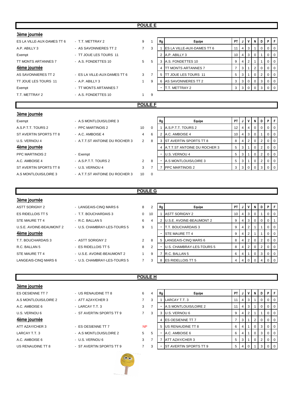### **POULE E**

| 3ème journée               |                                |                |                |                          |                               |                |   |                |          |                |                |                |  |  |
|----------------------------|--------------------------------|----------------|----------------|--------------------------|-------------------------------|----------------|---|----------------|----------|----------------|----------------|----------------|--|--|
| ES LA VILLE-AUX-DAMES TT 6 | - T.T. METTRAY 2               | 9              | 1              | Rg                       | Equipe                        | <b>PT</b>      |   | v              | N        | D              | PF             |                |  |  |
| A.P. ABILLY 3              | - AS SAVONNIERES TT 2          | $\overline{7}$ | 3              |                          | ES LA VILLE-AUX-DAMES TT 6    | 11             | 4 | 3              |          | 0              | $\overline{0}$ | $\overline{0}$ |  |  |
| Exempt                     | - TT JOUE LES TOURS 11         |                |                | $\overline{2}$           | A.P. ABILLY 3                 | 10             | 4 | 3              | 0        |                | $\overline{0}$ | 0              |  |  |
| TT MONTS ARTANNES 7        | - A.S. FONDETTES 10            | 5              | 5              |                          | 3 A.S. FONDETTES 10           | 9              | 4 | $\overline{2}$ |          |                | $\overline{0}$ | $\overline{0}$ |  |  |
| 4ème journée               |                                |                |                | 4                        | <b>ITT MONTS ARTANNES 7</b>   | $\overline{7}$ | 3 |                | 2        | 0              | 0              | $\mathbf 0$    |  |  |
| AS SAVONNIERES TT 2        | - ES LA VILLE-AUX-DAMES TT 6   | 3              | $\overline{7}$ | 5                        | <b>ITT JOUE LES TOURS 11</b>  | 5              | 3 |                | $\Omega$ | 2              | 0              | $\overline{0}$ |  |  |
| TT JOUE LES TOURS 11       | - A.P. ABILLY 3                | $\mathbf{1}$   | 9              | 6                        | AS SAVONNIERES TT 2           | 3              | 3 | 0              | 0        | 3              | $\overline{0}$ | $\overline{0}$ |  |  |
| Exempt                     | - TT MONTS ARTANNES 7          |                |                | $\overline{\phantom{a}}$ | T.T. METTRAY 2                | 3              | 3 | $\mathbf 0$    | 0        | 3              | $\overline{0}$ | $\overline{0}$ |  |  |
| T.T. METTRAY 2             | - A.S. FONDETTES 10            | 1              | 9              |                          |                               |                |   |                |          |                |                |                |  |  |
| <b>POULE F</b>             |                                |                |                |                          |                               |                |   |                |          |                |                |                |  |  |
|                            |                                |                |                |                          |                               |                |   |                |          |                |                |                |  |  |
| 3ème journée               |                                |                |                |                          |                               |                |   |                |          |                |                |                |  |  |
|                            |                                |                |                |                          |                               |                |   |                |          |                |                |                |  |  |
| Exempt                     | - A.S MONTLOUIS/LOIRE 3        |                |                | Rg                       | Equipe                        | PT             |   | ٧              | N        | D              | PF             |                |  |  |
| A.S.P.T.T. TOURS 2         | - PPC MARTINOIS 2              | 10             | $\Omega$       |                          | A.S.P.T.T. TOURS 2            | 12             | 4 | 4              | $\Omega$ | 0              | 0              | $\overline{0}$ |  |  |
| ST AVERTIN SPORTS TT 8     | - A.C. AMBOISE 4               | 4              | 6              |                          | 2 A.C. AMBOISE 4              | 10             | 4 | 3              | 0        |                | $\overline{0}$ | $\mathbf 0$    |  |  |
| U.S. VERNOU 4              | - A.T.T.ST ANTOINE DU ROCHER 3 | $\overline{2}$ | 8              | 3                        | <b>ST AVERTIN SPORTS TT 8</b> | 8              | 4 | $\overline{2}$ | 0        | 2              | 0              | $\mathbf 0$    |  |  |
| 4ème journée               |                                |                |                | 4                        | A.T.T.ST ANTOINE DU ROCHER 3  | 5              | 3 |                | 0        | 2              | 0              | $\mathbf 0$    |  |  |
| PPC MARTINOIS 2            | - Exempt                       |                |                |                          | <b>U.S. VERNOU 4</b>          | 5              | 3 |                | 0        | 2              | $\overline{0}$ | $\overline{0}$ |  |  |
| A.C. AMBOISE 4             | - A.S.P.T.T. TOURS 2           | 2              | 8              |                          | A.S MONTLOUIS/LOIRE 3         | 5              | 3 |                | 0        | $\overline{2}$ | $\overline{0}$ | $\overline{0}$ |  |  |
| ST AVERTIN SPORTS TT 8     | - U.S. VERNOU 4                | 3              | 7              | $\overline{7}$           | <b>PPC MARTINOIS 2</b>        | 3              | 3 | 0              | 0        | 3              | 0 <sup>1</sup> |                |  |  |
| A.S MONTLOUIS/LOIRE 3      | - A.T.T.ST ANTOINE DU ROCHER 3 | 10             | 0              |                          |                               |                |   |                |          |                |                |                |  |  |

### **POULE G**

### **3ème journée**

| <b>ASTT SORIGNY 2</b>    |
|--------------------------|
| ES RIDELLOIS TT 5        |
| STF MAURE TT 4           |
| U.S.E. AVOINE-BEAUMONT 2 |
|                          |
| 4ème journée             |
| T.T. BOUCHARDAIS 3       |
| R C. BALLAN 5            |
| STF MAURE TT 4           |

| <b>ASTT SORIGNY 2</b>    | - LANGEAIS-CINQ MARS 6      | 8        |
|--------------------------|-----------------------------|----------|
| <b>ES RIDELLOIS TT 5</b> | - T.T. BOUCHARDAIS 3        | $\Omega$ |
| STE MAURE TT 4           | $-R.C. BALLAN 5$            | 6        |
| U.S.E. AVOINE-BEAUMONT 2 | - U.S. CHAMBRAY-LES-TOURS 5 | 9        |
| 4ème journée             |                             |          |
| T.T. BOUCHARDAIS 3       | - ASTT SORIGNY 2            | 2        |
| R.C. BALLAN 5            | - ES RIDELLOIS TT 5         | 8        |
| STE MAURE TT 4           | - U.S.E. AVOINE-BEAUMONT 2  | 1        |
| LANGEAIS-CINQ MARS 6     | - U.S. CHAMBRAY-LES-TOURS 5 | 7        |

| ASTT SORIGNY 2           | - LANGEAIS-CINQ MARS 6      | 8              | 2  | Rg | Equipe                    | <b>PT</b> |   | v  | N        | D        | PF             |                  |
|--------------------------|-----------------------------|----------------|----|----|---------------------------|-----------|---|----|----------|----------|----------------|------------------|
| ES RIDELLOIS TT 5        | - T.T. BOUCHARDAIS 3        | 0              | 10 |    | <b>ASTT SORIGNY 2</b>     | 10 I      | 4 | -3 | $\Omega$ |          |                | 0 <sub>0</sub>   |
| STE MAURE TT 4           | - R.C. BALLAN 5             | 6              | 4  |    | U.S.E. AVOINE-BEAUMONT 2  |           | 4 | 3  | $\Omega$ | $\Omega$ | 0 <sup>1</sup> |                  |
| U.S.E. AVOINE-BEAUMONT 2 | - U.S. CHAMBRAY-LES-TOURS 5 | 9              |    |    | T.T. BOUCHARDAIS 3        | 9         |   | 2  |          |          | 0              | $\overline{1}$ 0 |
| 4ème journée             |                             |                |    |    | <b>STE MAURE TT 4</b>     | 9         |   | 2  |          |          | 0              | $\overline{1}$ 0 |
| T.T. BOUCHARDAIS 3       | - ASTT SORIGNY 2            | $\overline{2}$ | 8  | 5  | LANGEAIS-CINQ MARS 6      | 8         |   |    | 0        |          | 0 <sub>0</sub> |                  |
| R.C. BALLAN 5            | $-$ ES RIDELLOIS TT 5       | 8              | 2  |    | U.S. CHAMBRAY-LES-TOURS 5 | 8         |   |    | $\Omega$ |          |                | $\overline{1}$ 0 |
| STE MAURE TT 4           | - U.S.E. AVOINE-BEAUMONT 2  |                | 9  |    | R.C. BALLAN 5             | 6         |   |    | 0        | 3        | $0$   $0$      |                  |
| LANGEAIS-CINQ MARS 6     | - U.S. CHAMBRAY-LES-TOURS 5 |                | 3  |    | 8 ES RIDELLOIS TT 5       |           |   |    |          |          |                | $\overline{1}$ 0 |
|                          |                             |                |    |    |                           |           |   |    |          |          |                |                  |

### **3ème journée**

ES OESIENNE TT 7 **19 A P F** US RENAUDINE TT 8 4 A P F F F A RENAUDINE TT 8 A.S MONTLOUIS/LOIRE 2 - ATT AZAY/CHER 3 7 A.C. AMBOISE 6 - LARCAY T.T. 3 3 **4ème journée** ATT AZAY/CHER 3 - ES OESIENNE TT 7 LARCAY T.T. 3 - A.S. MONTLOUIS/LOIRE 2 5 A.C. AMBOISE 6 - U.S. VERNOU 6 3 7 7 ATT AZAY/CHER 3 5 3 1 0 2 0 0

**POULE H**

NP

- 
- 
- U.S. VERNOU 6 **Fig. 1** 3 3 3 3 3 3 3 3 3 3 3 3 4 3 3 3 4 3 3 4 3 3 4 3 3 4 3 4 3 3 4 3 4 3 4 3 4 3 4 3 4 3 4 3 4  $\sigma$

- 
- 
- US RENAUDINE TT 8 ST AVERTIN SPORTS TT 9 7 3 ST AVERTIN SPORTS TT 9 5 4 0 1 3 0 0



| Rg             | Equipe                 | PT | J        | ٧ | N        | D              | P            | F        |
|----------------|------------------------|----|----------|---|----------|----------------|--------------|----------|
|                | LARCAY T.T. 3          | 11 | 4        | 3 |          | 0              | 0            | 0        |
|                | A.S MONTLOUIS/LOIRE 2  | 11 | 4        | 3 |          | 0              | 0            | 0        |
| 3              | U.S. VERNOU 6          | 9  | 4        | 2 |          |                | 0            | $\Omega$ |
| $\overline{4}$ | ES OESIENNE TT 7       | 7  | 3        |   | 2        | $\Omega$       | 0            | $\Omega$ |
| 5              | US RENAUDINE TT 8      | 6  | 4        | 1 | 0        | 3              | 0            | 0        |
|                | A.C. AMBOISE 6         | 6  | 4        | 1 | $\Omega$ | 3              | 0            | 0        |
|                | ATT AZAY/CHER 3        | 5  | 3        |   | $\Omega$ | $\overline{2}$ | 0            | $\Omega$ |
|                | ST AVERTIN SPORTS TT 9 | 5  | $\Delta$ | n | 1        | З              | <sup>0</sup> | $\Omega$ |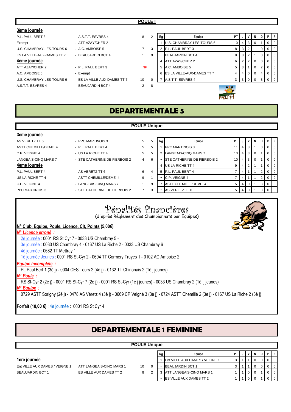### **POULE I**

| 3ème journée               |                              |                |    |    |                                    |                 |                |    |   |   |           |                  |
|----------------------------|------------------------------|----------------|----|----|------------------------------------|-----------------|----------------|----|---|---|-----------|------------------|
| P.L. PAUL BERT 3           | - A S.T.T. ESVRES 4          | 8              | 2  | Rq | Equipe                             | PT I            | J              | V  | N | D | PF        |                  |
| Exempt                     | - ATT AZAY/CHER 2            |                |    |    | <b>U.S. CHAMBRAY-LES-TOURS 6</b>   | 10 <sub>l</sub> | 4 <sup>1</sup> | -3 |   |   | 0         | $\overline{0}$   |
| U.S. CHAMBRAY-LES-TOURS 6  | $-$ A.C. AMBOISE 5           |                | 3  |    | P.L. PAUL BERT 3                   | 8               | 3              |    |   | 0 | $0$   $0$ |                  |
| ES LA VILLE-AUX-DAMES TT 7 | - BEAUJARDIN BCT 4           |                | 9  |    | <b>BEAUJARDIN BCT 4</b>            | 8               | 3              |    |   | 0 | $01$ 0    |                  |
| 4ème journée               |                              |                |    | 4  | <b>ATT AZAY/CHER 2</b>             | 6               | 2 <sup>1</sup> | 2  | 0 | 0 | $01$ 0    |                  |
| ATT AZAY/CHER 2            | - P.L. PAUL BERT 3           | <b>NP</b>      |    | 5  | A.C. AMBOISE 5                     | 5               | 3              |    | 0 | 2 | 0         | $\overline{1}$ 0 |
| A.C. AMBOISE 5             | - Exempt                     |                |    | 6  | <b>IES LA VILLE-AUX-DAMES TT 7</b> | 4               | 4              |    |   |   | 0         | <b>0</b>         |
| U.S. CHAMBRAY-LES-TOURS 6  | - ES LA VILLE-AUX-DAMES TT 7 | 10             |    |    | A.S.T.T. ESVRES 4                  |                 | $\mathbf{3}$   |    |   | 3 | $01$ 0    |                  |
| A.S.T.T. ESVRES 4          | - BEAUJARDIN BCT 4           | $\overline{2}$ | -8 |    | $\sim$ 00)                         |                 |                |    |   |   |           |                  |



**POULE Unique**

### **3ème journée**

| AS VERETZ TT 6       | - PPC MARTINOIS 3             | 5              |
|----------------------|-------------------------------|----------------|
| ASTT CHEMILLE/DEME 4 | - P.L. PAUL BERT 4            | 5              |
| C.P. VEIGNE 4        | - US LA RICHE TT 4            | 5              |
| LANGEAIS-CINQ MARS 7 | - STE CATHERINE DE FIERBOIS 2 | $\overline{4}$ |
| 4ème journée         |                               |                |
| P.L. PAUL BERT 4     | - AS VERETZ TT 6              | 6              |
| US LA RICHE TT 4     | - ASTT CHEMILLE/DEME 4        | 9              |
| C.P. VEIGNE 4        | - LANGEAIS-CINQ MARS 7        | 1              |
| PPC MARTINOIS 3      | - STE CATHERINE DE FIERBOIS 2 | 7              |

|  | E | Е |
|--|---|---|
|  |   |   |
|  |   |   |
|  |   |   |

| AS VERETZ TT 6       | - PPC MARTINOIS 3             | 5 | 5 | Rg | Equipe                             | <b>PT</b> |   | N. | D | PFI                      |
|----------------------|-------------------------------|---|---|----|------------------------------------|-----------|---|----|---|--------------------------|
| ASTT CHEMILLE/DEME 4 | - P.L. PAUL BERT 4            | 5 | 5 |    | <b>PPC MARTINOIS 3</b>             |           |   |    |   | 0101                     |
| C.P. VEIGNE 4        | - US LA RICHE TT 4            | 5 | 5 |    | LANGEAIS-CINQ MARS 7               | 10        |   |    |   | $\overline{0}$           |
| LANGEAIS-CINQ MARS 7 | - STE CATHERINE DE FIERBOIS 2 | 4 | 6 |    | <b>STE CATHERINE DE FIERBOIS 2</b> | 10        | 3 |    |   | $\overline{101}$         |
| 4ème journée         |                               |   |   |    | 4 US LA RICHE TT 4                 |           |   |    |   | $\overline{\phantom{0}}$ |
| P.L. PAUL BERT 4     | - AS VERETZ TT 6              | 6 | 4 |    | 5 P.L. PAUL BERT 4                 |           |   |    |   | $\overline{1}$ 0         |
| US LA RICHE TT 4     | - ASTT CHEMILLE/DEME 4        | 9 |   |    | C.P. VEIGNE 4                      |           |   |    |   | 0 0                      |
| C.P. VEIGNE 4        | - LANGEAIS-CINQ MARS 7        |   | 9 |    | <b>ASTT CHEMILLE/DEME 4</b>        | 5         |   |    |   | 0 1 0                    |
| PPC MARTINOIS 3      | - STE CATHERINE DE FIERBOIS 2 | 7 | 3 |    | AS VERETZ TT 6                     |           |   |    |   | $\overline{0}$           |
|                      |                               |   |   |    |                                    |           |   |    |   |                          |

**RUTH** 

# Pénalités financières

(d'après Règlement des Championnats par Equipes)

### **N° Club, Equipe, Poule, Licence, Clt, Points (5,00€)**

*N° Licence erroné :* 

- 2è journée : 0001 RS St Cyr 7 0033 US Chambray 5 -
- 3è journée : 0033 US Chambray 4 0167 US La Riche 2 0033 US Chambray 6

4è journée : 0682 TT Mettray 1

1è journée Jeunes : 0001 RS St-Cyr 2 - 0694 TT Cormery Truyes 1 - 0102 AC Amboise 2

*Equipe Incomplète :* 

PL Paul Bert 1 (3è j) - 0004 CES Tours 2 (4è j) - 0132 TT Chinonais 2 (1è j jeunes)

### *N° Poule :*

RS St-Cyr 2 (2è j) - 0001 RS St-Cyr 7 (2è j) - 0001 RS St-Cyr (1è j jeunes) - 0033 US Chambray 2 (1è j jeunes)

### *N° Equipe :*

0729 ASTT Sorigny (2è j) - 0478 AS Véretz 4 (3è j) - 0669 CP Veigné 3 (3è j) - 0724 ASTT Chemillé 2 (3è j) - 0167 US La Riche 2 (3è j)

**Forfait (10,00 €)** : 4è journée : 0001 RS St Cyr 4

### **DEPARTEMENTALE 1 FEMININE**

|                                |                          | <b>POULE Unique</b> |   |    |                                       |                |  |   |  |                            |
|--------------------------------|--------------------------|---------------------|---|----|---------------------------------------|----------------|--|---|--|----------------------------|
|                                |                          |                     |   | Rg | Equipe                                | P <sub>1</sub> |  | N |  |                            |
| 1ère journée                   |                          |                     |   |    | <b>Ent VILLE AUX DAMES / VEIGNE 1</b> |                |  | 0 |  |                            |
| Ent VILLE AUX DAMES / VEIGNE 1 | ATT LANGEAIS-CINQ MARS 1 | 10                  |   |    | <b>BEAUJARDIN BCT 1</b>               |                |  |   |  | $\overline{0}$             |
| BEAUJARDIN BCT 1               | ES VILLE AUX DAMES TT 2  | 8                   | ◠ |    | <b>ATT LANGEAIS-CINQ MARS 1</b>       |                |  |   |  | <b>O</b>                   |
|                                |                          |                     |   |    | <b>ES VILLE AUX DAMES TT 2</b>        |                |  |   |  | $\overline{\phantom{0}}$ 0 |

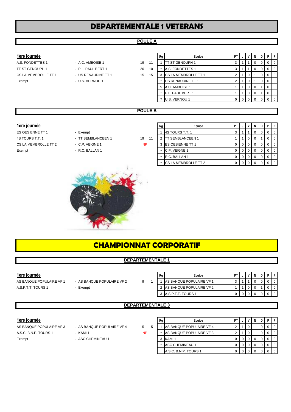### **DEPARTEMENTALE 1 VETERANS**

### **POULE A**

- A.S. FONDETTES 1 A.C. AMBOISE 1 19 TT ST GENOUPH 1 - P.L. PAUL BERT 1 20 CS LA MEMBROLLE TT 1 - US RENAUDINE TT 1 15
	-

| 1ère journée         |                     |    |    | Rg | Equipe                      | <b>PT</b> | J | v              | N | D | P.             |     |
|----------------------|---------------------|----|----|----|-----------------------------|-----------|---|----------------|---|---|----------------|-----|
| A.S. FONDETTES 1     | - A.C. AMBOISE 1    | 19 | 11 |    | <b>ITT ST GENOUPH 1</b>     | 3         |   |                |   |   | 0 <sub>0</sub> |     |
| TT ST GENOUPH 1      | - P.L. PAUL BERT 1  | 20 | 10 |    | <b>A.S. FONDETTES 1</b>     | 3         |   |                |   |   | 0 <sub>0</sub> |     |
| CS LA MEMBROLLE TT 1 | - US RENAUDINE TT 1 | 15 | 15 | 3  | <b>CS LA MEMBROLLE TT 1</b> | 2         |   |                |   |   | 0 <sub>0</sub> |     |
| Exempt               | - U.S. VERNOU 1     |    |    |    | <b>US RENAUDINE TT 1</b>    | 2         |   |                |   | O | 0 <sub>0</sub> |     |
|                      |                     |    |    | 5  | A.C. AMBOISE 1              |           |   |                |   |   |                | - 0 |
|                      |                     |    |    |    | <b>P.L. PAUL BERT 1</b>     |           |   |                |   |   |                | - 0 |
|                      |                     |    |    |    | <b>U.S. VERNOU 1</b>        | 0         |   | 0 <sub>0</sub> |   |   | 0 <sub>0</sub> |     |
|                      |                     |    |    |    |                             |           |   |                |   |   |                |     |

### **POULE B**

- 
- - -

| 1ère journée         |                    |           | Rg | Equipe                      | PT I       |  |  | <b>PIF</b> |     |
|----------------------|--------------------|-----------|----|-----------------------------|------------|--|--|------------|-----|
| ES OESIENNE TT 1     | - Exempt           |           |    | 4S TOURS T.T. 1             |            |  |  |            |     |
| 4S TOURS T.T. 1      | - TT SEMBLANCEEN 1 | 19<br>11  |    | <b>TT SEMBLANCEEN 1</b>     |            |  |  |            | l O |
| CS LA MEMBROLLE TT 2 | - C.P. VEIGNE 1    | <b>NP</b> |    | 3 <b>IES OESIENNE TT 1</b>  |            |  |  |            |     |
| Exempt               | - R.C. BALLAN 1    |           | -  | C.P. VEIGNE 1               | $^{\circ}$ |  |  |            |     |
|                      |                    |           |    | R.C. BALLAN 1               |            |  |  |            |     |
|                      |                    |           |    | <b>CS LA MEMBROLLE TT 2</b> |            |  |  |            |     |



| <u>CHAMPIONNAT CORPORATIF</u> |  |  |  |  |  |  |  |  |
|-------------------------------|--|--|--|--|--|--|--|--|
|-------------------------------|--|--|--|--|--|--|--|--|

### **DEPARTEMENTALE 1**

- -

| 1ère journée             |                            |  | Rg | Equipe                     |  |  |  |  |
|--------------------------|----------------------------|--|----|----------------------------|--|--|--|--|
| AS BANQUE POPULAIRE VF 1 | - AS BANQUE POPULAIRE VF 2 |  |    | AS BANQUE POPULAIRE VF 1   |  |  |  |  |
| A.S.P.T.T. TOURS 1       | - Exempt                   |  |    | 2 AS BANQUE POPULAIRE VF 2 |  |  |  |  |
|                          |                            |  |    | 3 A.S.P.T.T. TOURS 1       |  |  |  |  |

### **DEPARTEMENTALE 3**

- AS BANQUE POPULAIRE VF 3 AS BANQUE POPULAIRE VF 4 5 5
	-
	-

| I |  |
|---|--|

| 1ère journée             |                            |           | Rg | Equipe                          | PT |   |  |  |
|--------------------------|----------------------------|-----------|----|---------------------------------|----|---|--|--|
| AS BANQUE POPULAIRE VF 3 | - AS BANQUE POPULAIRE VF 4 | 5.        |    | <b>AS BANQUE POPULAIRE VF 4</b> |    |   |  |  |
| A.S.C. B.N.P. TOURS 1    | $-$ KAMI 1                 | <b>NP</b> |    | - AS BANQUE POPULAIRE VF3       |    |   |  |  |
| Exempt                   | - ASC CHEMINEAU 1          |           |    | 3 KAMI 1                        |    | 0 |  |  |
|                          |                            |           |    | ASC CHEMINEAU 1                 |    |   |  |  |
|                          |                            |           |    | - IA.S.C. B.N.P. TOURS 1        |    |   |  |  |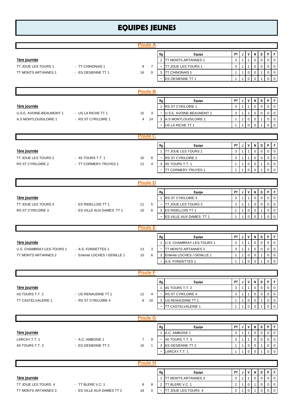# **EQUIPES JEUNES**

|                                                                          |                                                    | <b>Poule A</b>       |                   |                                                     |                                                                                                                     |                                                |                                                        |                                                                     |                                                               |                             |                                                                  |                                                                             |
|--------------------------------------------------------------------------|----------------------------------------------------|----------------------|-------------------|-----------------------------------------------------|---------------------------------------------------------------------------------------------------------------------|------------------------------------------------|--------------------------------------------------------|---------------------------------------------------------------------|---------------------------------------------------------------|-----------------------------|------------------------------------------------------------------|-----------------------------------------------------------------------------|
| 1ère journée<br>TT JOUE LES TOURS 1                                      |                                                    |                      |                   | Rg<br>1<br>٠                                        | Equipe<br>TT MONTS ARTANNES 1<br>TT JOUE LES TOURS 1                                                                | PT  <br>3<br>3                                 | J<br>$\mathbf{1}$<br>$\mathbf{1}$                      | $\mathsf{v}$<br>$\mathbf 1$<br>$\overline{1}$                       | N<br>$\mathbf 0$                                              | D<br>0                      | P<br>$\mathbf 0$<br>$\mathsf 0$                                  | F<br>$\mathbf 0$<br>$\mathbf 0$                                             |
| TT MONTS ARTANNES 1                                                      | - TT CHINONAIS 1<br>- ES OESIENNE TT 1             | 9<br>16              | 7<br>0            | 3<br>$\overline{\phantom{a}}$                       | <b>TT CHINONAIS 1</b><br>ES OESIENNE TT 1                                                                           | $\mathbf{1}$<br>$\mathbf{1}$                   | 1<br>$\overline{1}$                                    | $\mathbf 0$<br>$\mathbf 0$                                          | $\mathbf 0$<br>$\mathbf 0$<br>$\Omega$                        | 0<br>1                      | $\mathbf 0$<br>$\mathbf 0$                                       | $\mathbf 0$<br>$\mathbf 0$                                                  |
|                                                                          |                                                    | <b>Poule B</b>       |                   |                                                     |                                                                                                                     |                                                |                                                        |                                                                     |                                                               |                             |                                                                  |                                                                             |
| <u>1ère journée</u><br>U.S.E. AVOINE-BEAUMONT 1<br>A.S MONTLOUIS/LOIRE 1 | - US LA RICHE TT 1<br>- RS ST CYR/LOIRE 1          | 15<br>4              | 3<br>14           | Rg<br>$\mathbf{1}$<br>3                             | Equipe<br>RS ST CYR/LOIRE 1<br>U.S.E. AVOINE-BEAUMONT 1<br>A.S MONTLOUIS/LOIRE 1<br>US LA RICHE TT 1                | PT<br>3<br>3<br>$\mathbf{1}$<br>$\mathbf{1}$   | J<br>1<br>$\mathbf{1}$<br>$\mathbf{1}$<br>1            | V<br>1<br>$\overline{1}$<br>$\mathbf 0$<br>$\mathbf 0$              | N<br>$\mathbf 0$<br>$\mathbf 0$<br>$\mathbf 0$<br>0           | D<br>0<br>0<br>$\mathbf{1}$ | P<br>0<br>$\mathbf 0$<br>$\mathbf 0$<br>$\mathbf 0$              | $\mathsf F$<br>$\mathbf 0$<br>$\mathbf 0$<br>$\mathbf 0$<br>$\mathbf 0$     |
|                                                                          |                                                    | <b>Poule C</b>       |                   |                                                     |                                                                                                                     |                                                |                                                        |                                                                     |                                                               |                             |                                                                  |                                                                             |
| <u>1ère journée</u><br>TT JOUE LES TOURS 2<br><b>RS ST CYR/LOIRE 2</b>   | - 4S TOURS T.T. 1<br>- TT CORMERY-TRUYES 1         | 10<br>12             | 6<br>4            | Rg<br>$\mathbf{1}$<br>$\overline{\phantom{a}}$<br>3 | Equipe<br>TT JOUE LES TOURS 2<br>RS ST CYR/LOIRE 2<br>4S TOURS T.T. 1<br>TT CORMERY-TRUYES 1                        | PT<br>3<br>3<br>$\mathbf{1}$<br>$\mathbf{1}$   | J<br>$\mathbf{1}$<br>1<br>$\mathbf{1}$<br>1            | V<br>$\overline{1}$<br>$\mathbf{1}$<br>$\mathbf 0$<br>$\mathbf 0$   | N<br>$\mathbf 0$<br>$\mathbf 0$<br>$\mathbf 0$<br>$\Omega$    | D<br>0<br>0<br>1            | P<br>$\mathbf 0$<br>$\mathbf 0$<br>$\mathsf 0$<br>$\overline{O}$ | $\mathsf{F}$<br>$\mathbf 0$<br>$\mathbf 0$<br>$\mathsf 0$<br>$\overline{0}$ |
|                                                                          |                                                    | <b>Poule D</b>       |                   |                                                     |                                                                                                                     |                                                |                                                        |                                                                     |                                                               |                             |                                                                  |                                                                             |
| <u>1ère journée</u><br>TT JOUE LES TOURS 3<br><b>RS ST CYR/LOIRE 3</b>   | - ES RIDELLOIS TT 1<br>- ES VILLE AUX DAMES TT 1   | 11<br>10             | 5<br>6            | Rg<br>$\mathbf{1}$<br>٠<br>3                        | Equipe<br><b>RS ST CYR/LOIRE 3</b><br>TT JOUE LES TOURS 3<br><b>ES RIDELLOIS TT 1</b><br>ES VILLE AUX DAMES TT 1    | PT  <br>3<br>3<br>1<br>$\mathbf{1}$            | J<br>$\mathbf{1}$<br>$\mathbf{1}$<br>$\mathbf{1}$<br>1 | V<br>$\overline{1}$<br>$\overline{1}$<br>$\pmb{0}$<br>$\mathbf 0$   | N<br>$\mathbf 0$<br>$\mathbf 0$<br>$\mathbf 0$<br>$\Omega$    | D<br>0<br>$\mathbf 0$<br>1  | P<br>0<br>$\pmb{0}$<br>$\mathbf 0$<br>$\mathbf 0$                | F.<br>$\mathbf 0$<br>$\overline{0}$<br>$\mathbf 0$<br>$\mathbf 0$           |
|                                                                          |                                                    | <b>Poule E</b>       |                   |                                                     |                                                                                                                     |                                                |                                                        |                                                                     |                                                               |                             |                                                                  |                                                                             |
| <u>1ère journée</u><br>U.S. CHAMBRAY-LES-TOURS 1<br>TT MONTS ARTANNES 2  | - A.S. FONDETTES 1<br>- Entente LOCHES / GENILLE 1 | 13<br>10             | 3<br>6            | Rg<br>$\mathbf{1}$<br>3                             | Equipe<br><b>U.S. CHAMBRAY-LES-TOURS 1</b><br>TT MONTS ARTANNES 2<br>Entente LOCHES / GENILLE 1<br>A.S. FONDETTES 1 | PT<br>3<br>3<br>1                              | J<br>$\mathbf{1}$<br>1<br>$\mathbf{1}$                 | V<br>$\overline{1}$<br>$\overline{1}$<br>$\pmb{0}$                  | N<br>$\mathbf 0$<br>$\pmb{0}$<br>$\pmb{0}$                    | D<br>0<br>0<br>1            | P<br>$\mathbf 0$<br>$\mathbf 0$<br>$\overline{0}$                | $\mathsf F$<br>$\mathbf 0$<br>$\mathsf 0$<br>$\mathbf 0$<br>11001100        |
|                                                                          |                                                    | <b>Poule F</b>       |                   |                                                     |                                                                                                                     |                                                |                                                        |                                                                     |                                                               |                             |                                                                  |                                                                             |
| 1ère journée<br>4S TOURS T.T. 2<br>TT CASTELVALERIE 1                    | - US RENAUDINE TT 1<br>- RS ST CYR/LOIRE 4         | 12<br>8              | 4<br>10           | Rg<br>$\mathbf{1}$<br>3                             | Equipe<br>4S TOURS T.T. 2<br>RS ST CYR/LOIRE 4<br>US RENAUDINE TT 1<br>TT CASTELVALERIE 1                           | PT  <br>3<br>3<br>1<br>1                       | J<br>$\mathbf{1}$<br>1<br>1<br>$\mathbf{1}$            | $\mathsf{V}$<br>$\overline{1}$<br>1<br>0<br>$\mathbf 0$             | N<br>$\mathbf 0$<br>0<br>0<br>$\mathbf 0$                     | D<br>0<br>0                 | P<br>$\mathbf 0$<br>0<br>0<br>0                                  | F <br>$\mathbf 0$<br>$\mathbf 0$<br>$\mathbf 0$<br>$\overline{0}$           |
|                                                                          |                                                    | <b>Poule G</b>       |                   |                                                     |                                                                                                                     |                                                |                                                        |                                                                     |                                                               |                             |                                                                  |                                                                             |
| 1ère journée<br>LARCAY T.T. 1<br>4S TOURS T.T. 3                         | - A.C. AMBOISE 1<br>- ES OESIENNE TT 2             | $\overline{7}$<br>15 | 9<br>$\mathbf{1}$ | Rg<br>$\mathbf{1}$<br>$\overline{\phantom{a}}$      | Equipe<br>A.C. AMBOISE 1<br>4S TOURS T.T. 3<br>3 ES OESIENNE TT 2<br>LARCAY T.T. 1                                  | PT  <br>3<br>3<br>$\mathbf{1}$<br>$\mathbf{1}$ | J<br>$\mathbf{1}$<br>$\mathbf{1}$<br>$\mathbf{1}$<br>1 | V<br>$\overline{1}$<br>$\overline{1}$<br>$\mathbf 0$<br>$\mathbf 0$ | N<br>$\mathbf 0$<br>$\mathbf 0$<br>$\mathbf 0$<br>$\mathbf 0$ | D<br>0<br>0<br>$\mathbf{1}$ | P<br>0<br>$\pmb{0}$<br>$\mathbf{0}$<br>$\overline{0}$            | F<br>$\overline{0}$<br>$\overline{0}$<br>$\mathsf 0$<br>$\overline{0}$      |
|                                                                          |                                                    | <b>Poule H</b>       |                   |                                                     |                                                                                                                     |                                                |                                                        |                                                                     |                                                               |                             |                                                                  |                                                                             |
| <u>1ère journée</u><br>TT JOUE LES TOURS 4<br>TT MONTS ARTANNES 3        | - TT BLERE V.C. 1<br>- ES VILLE AUX DAMES TT 2     | 8<br>16              | 8<br>0            | Rg<br>$\mathbf{1}$<br>2<br>$\overline{\phantom{a}}$ | Equipe<br>TT MONTS ARTANNES 3<br><b>TT BLERE V.C. 1</b><br>TT JOUE LES TOURS 4                                      | PT<br>3<br>$\overline{2}$<br>$\overline{2}$    | J<br>$\mathbf{1}$<br>$\mathbf{1}$                      | V<br>$\overline{1}$<br>$\mathbf 0$<br>$\mathbf 0$                   | N<br>$\mathbf 0$<br>$\mathbf{1}$                              | D<br>0<br>0<br>0            | P<br>$\overline{0}$<br>$\pmb{0}$<br>$\mathbf 0$                  | F <br>$\overline{0}$<br> 0 <br>$\overline{0}$                               |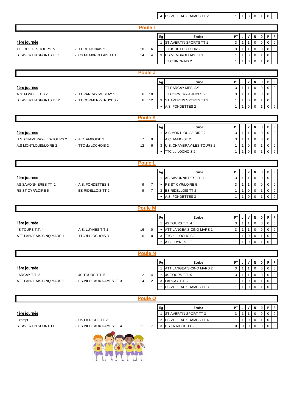**Rg Equipe PT J V N D P F 1ère journée** 2 2 2 3 4 4 5 2 3 4 4 5 3 4 5 4 5 3 4 5 4 5 5 4 5 5 6 7 3 4 5 5 6 7 3 4 5 6 7 3 4 5 6 7 3 4 5 6 7 3 4 5 6 7 3 4 5 6 7 3 4 5 6 7 3 4 5 6 7 3 4 5 6 7 3 4 5 6 7 3 5 7 3 5 7 3 5 7 3 5 7 3 5 7 3 5 7 3 5 7 3 5 7 3 TT JOUE LES TOURS 5 - TT CHINONAIS 2 10 6 - TT JOUE LES TOURS 5 3 1 1 0 0 0 0 0 ST AVERTIN SPORTS TT 1 - CS MEMBROLLAIS TT 1  $14$   $4$   $3$  CS MEMBROLLAIS TT 1  $11$   $11$   $0$   $0$   $1$   $0$   $0$ - TT CHINONAIS 2  $11100011$ Rg **PT | J | V | N | D | P | F 1ère journée** 1 TT PARCAY MESLAY 1 3 1 1 0 0 0 0 A.S. FONDETTES 2 - TT PARCAY MESLAY 1 6 10 - TT CORMERY-TRUYES 2 3 1 1 0 0 0 0 ST AVERTIN SPORTS TT 2 - TT CORMERY-TRUYES 2 6 12 3 ST AVERTIN SPORTS TT 2  $1110001$ A.S. FONDETTES 2 1 1 0 0 1 0 0 Rg **PT | J | V | N | D | P | F 1ère journée** 1 A.S MONTLOUIS/LOIRE 2 3 1 1 0 0 0 0 U.S. CHAMBRAY-LES-TOURS 2 - A.C. AMBOISE 2 7 9 - A.C. AMBOISE 2 3 3 1 1 1 0 0 0 0 0 A.S MONTLOUIS/LOIRE 2 - TTC du LOCHOIS 2 12 6 3 U.S. CHAMBRAY-LES-TOURS 2 1 1 1 0 0 1 0 0 - TTC du LOCHOIS 2 1 1 0 0 1 0 0 Rg **PT | J | V | N | D | P | F 1ère journée** 1 AS SAVONNIERES TT 1 3 1 1 0 0 0 0 AS SAVONNIERES TT 1 - A.S. FONDETTES 3 9 7 - RS ST CYR/LOIRE 5 3 3 1 1 1 0 0 0 0 0 RS ST CYR/LOIRE 5 - ES RIDELLOIS TT 2 9 7 3 ES RIDELLOIS TT 2  $1110001100$ A.S. FONDETTES 3 1 1 1 0 0 1 0 0 Rg **PT | J | V | N | D | P | F 1ère journée** 1 4S TOURS T.T. 4 3 1 1 0 0 0 0 4S TOURS T.T. 4  $-$  A.S. LUYNES T.T 1  $-$  16 0  $-$  ATT LANGEAIS-CINQ MARS 1  $3$   $1$   $1$   $1$   $0$   $0$   $1$   $0$   $1$ ATT LANGEAIS-CINQ MARS 1 - TTC du LOCHOIS 3 16 0 3 TTC du LOCHOIS 3 1 1 1 0 0 1 0 1 0 0 1  $-$  A.S. LUYNES T.T 1  $\vert 1 \vert 1 \vert 0 \vert 0 \vert 1 \vert 0 \vert 0$ **Rg Equipe PT J V N D P F 1ère journée** 1 ATT LANGEAIS-CINQ MARS 2 3 1 1 0 0 0 0 LARCAY T.T. 2 - 4S TOURS T.T. 5 2 14 - 4S TOURS T.T. 5 3 1 1 0 0 0 0 0 0 ATT LANGEAIS-CINQ MARS 2 - ES VILLE AUX DAMES TT 3 14 2 3 LARCAY T.T. 2 1 1 1 0 0 1 0 0 1  $-$  ES VILLE AUX DAMES TT 3  $\vert 1 \vert 1 \vert 0 \vert 0 \vert 1 \vert 0$ **Rg Equipe PT J V N D P F 1ère journée** 1 ST AVERTIN SPORT TT 3 3 1 1 0 0 0 0 Exempt - US LA RICHE TT 2 2 ES VILLE AUX DAMES TT 4 1 1 0 0 1 0 1 0 0 0 1 ST AVERTIN SPORT TT 3 - ES VILLE AUX DAMES TT 4 11 7 3 US LA RICHE TT 2 0 0 0 0 0 0 0 **Poule J Poule K Poule L Poule M Poule N Poule O Poule I**

4 ES VILLE AUX DAMES TT 2 1 1 0 0 1 0 0